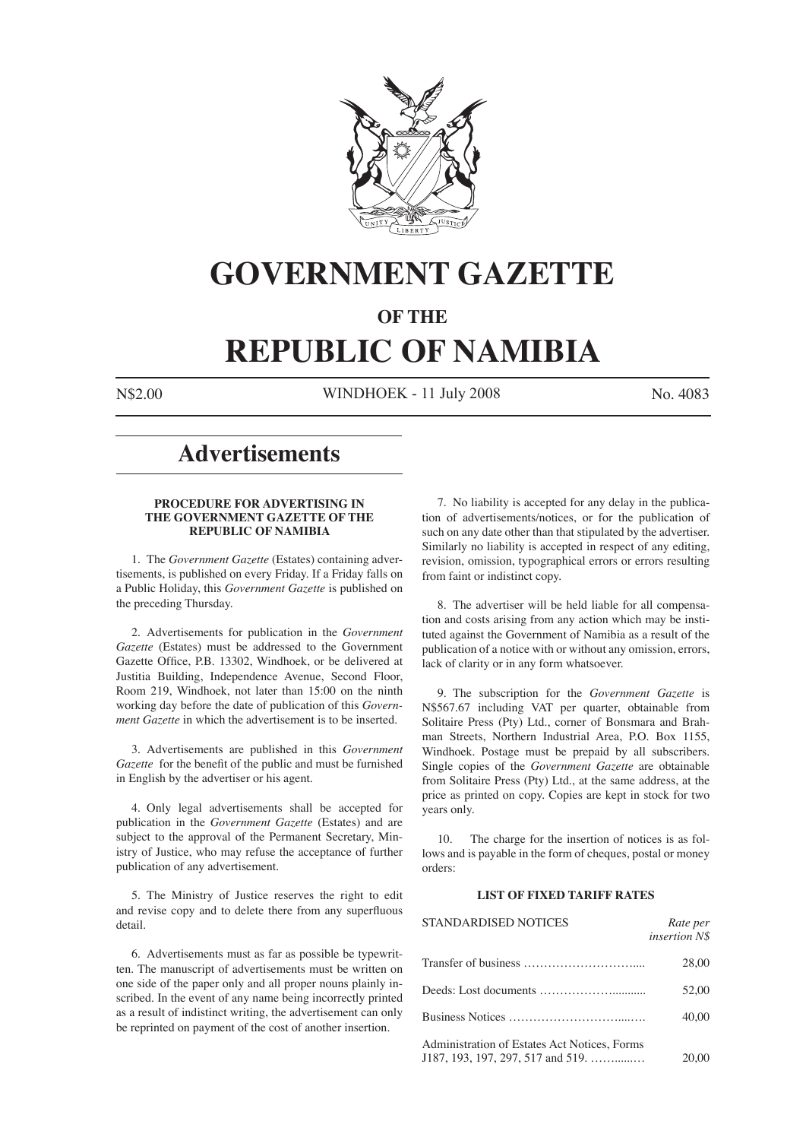

# **GOVERNMENT GAZETTE**

## **OF THE**

## **REPUBLIC OF NAMIBIA**

N\$2.00 WINDHOEK - 11 July 2008 No. 4083

## **Advertisements**

## **PROCEDURE FOR ADVERTISING IN THE GOVERNMENT GAZETTE OF THE REPUBLIC OF NAMIBIA**

1. The *Government Gazette* (Estates) containing advertisements, is published on every Friday. If a Friday falls on a Public Holiday, this *Government Gazette* is published on the preceding Thursday.

2. Advertisements for publication in the *Government Gazette* (Estates) must be addressed to the Government Gazette Office, P.B. 13302, Windhoek, or be delivered at Justitia Building, Independence Avenue, Second Floor, Room 219, Windhoek, not later than 15:00 on the ninth working day before the date of publication of this *Government Gazette* in which the advertisement is to be inserted.

3. Advertisements are published in this *Government Gazette* for the benefit of the public and must be furnished in English by the advertiser or his agent.

4. Only legal advertisements shall be accepted for publication in the *Government Gazette* (Estates) and are subject to the approval of the Permanent Secretary, Ministry of Justice, who may refuse the acceptance of further publication of any advertisement.

5. The Ministry of Justice reserves the right to edit and revise copy and to delete there from any superfluous detail.

6. Advertisements must as far as possible be typewritten. The manuscript of advertisements must be written on one side of the paper only and all proper nouns plainly inscribed. In the event of any name being incorrectly printed as a result of indistinct writing, the advertisement can only be reprinted on payment of the cost of another insertion.

7. No liability is accepted for any delay in the publication of advertisements/notices, or for the publication of such on any date other than that stipulated by the advertiser. Similarly no liability is accepted in respect of any editing, revision, omission, typographical errors or errors resulting from faint or indistinct copy.

8. The advertiser will be held liable for all compensation and costs arising from any action which may be instituted against the Government of Namibia as a result of the publication of a notice with or without any omission, errors, lack of clarity or in any form whatsoever.

9. The subscription for the *Government Gazette* is N\$567.67 including VAT per quarter, obtainable from Solitaire Press (Pty) Ltd., corner of Bonsmara and Brahman Streets, Northern Industrial Area, P.O. Box 1155, Windhoek. Postage must be prepaid by all subscribers. Single copies of the *Government Gazette* are obtainable from Solitaire Press (Pty) Ltd., at the same address, at the price as printed on copy. Copies are kept in stock for two years only.

10. The charge for the insertion of notices is as follows and is payable in the form of cheques, postal or money orders:

## **LIST OF FIXED TARIFF RATES**

| <b>STANDARDISED NOTICES</b>                                                           | Rate per<br>insertion N\$ |
|---------------------------------------------------------------------------------------|---------------------------|
|                                                                                       | 28,00                     |
|                                                                                       | 52,00                     |
|                                                                                       | 40.00                     |
| Administration of Estates Act Notices, Forms<br>$J187, 193, 197, 297, 517$ and $519,$ | 20,00                     |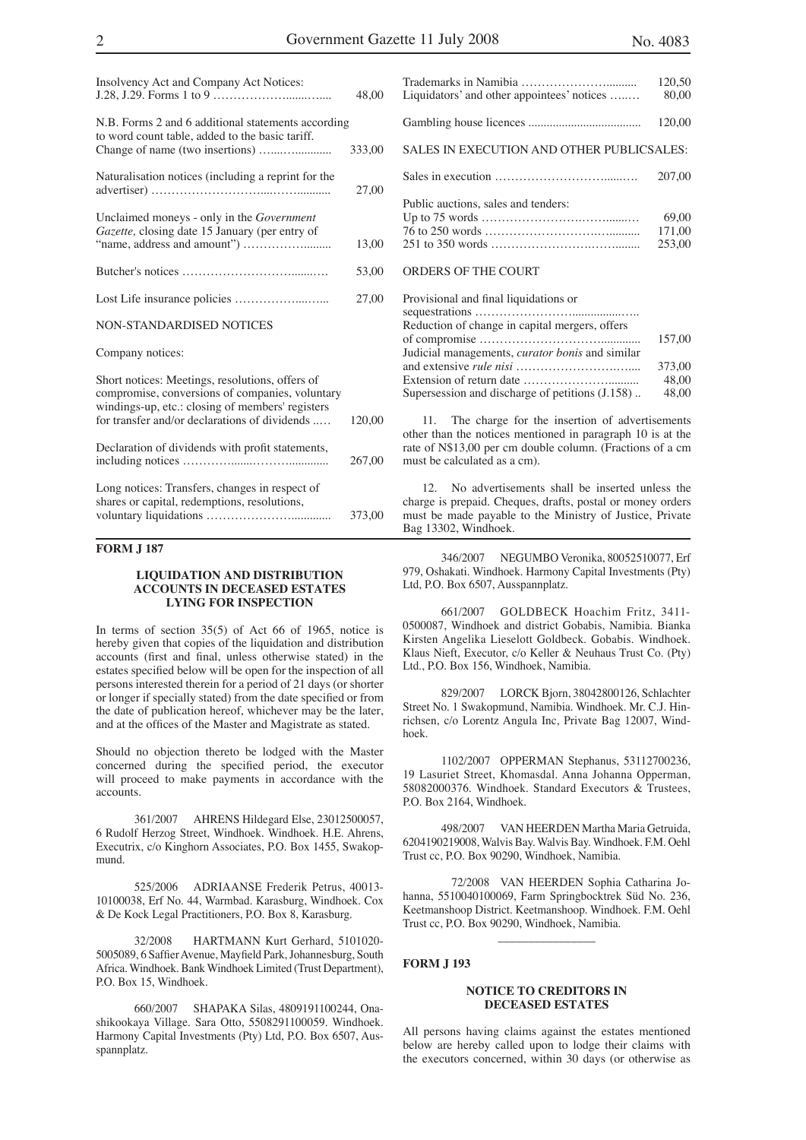| Insolvency Act and Company Act Notices:                                                                                                                                                                 | 48,00  |
|---------------------------------------------------------------------------------------------------------------------------------------------------------------------------------------------------------|--------|
| N.B. Forms 2 and 6 additional statements according<br>to word count table, added to the basic tariff.                                                                                                   | 333,00 |
| Naturalisation notices (including a reprint for the                                                                                                                                                     | 27,00  |
| Unclaimed moneys - only in the Government<br>Gazette, closing date 15 January (per entry of                                                                                                             | 13,00  |
|                                                                                                                                                                                                         | 53,00  |
|                                                                                                                                                                                                         | 27,00  |
| <b>NON-STANDARDISED NOTICES</b>                                                                                                                                                                         |        |
| Company notices:                                                                                                                                                                                        |        |
| Short notices: Meetings, resolutions, offers of<br>compromise, conversions of companies, voluntary<br>windings-up, etc.: closing of members' registers<br>for transfer and/or declarations of dividends | 120,00 |
| Declaration of dividends with profit statements,                                                                                                                                                        | 267,00 |
| Long notices: Transfers, changes in respect of                                                                                                                                                          |        |

| Long hottees. Transfers, enanges in respect of |        |
|------------------------------------------------|--------|
| shares or capital, redemptions, resolutions,   |        |
|                                                | 373,00 |

## **FORM J 187**

## **LIQUIDATION AND DISTRIBUTION ACCOUNTS IN DECEASED ESTATES LYING FOR INSPECTION**

In terms of section  $35(5)$  of Act 66 of 1965, notice is hereby given that copies of the liquidation and distribution accounts (first and final, unless otherwise stated) in the estates specified below will be open for the inspection of all persons interested therein for a period of 21 days (or shorter or longer if specially stated) from the date specified or from the date of publication hereof, whichever may be the later, and at the offices of the Master and Magistrate as stated.

Should no objection thereto be lodged with the Master concerned during the specified period, the executor will proceed to make payments in accordance with the accounts.

361/2007 AHRENS Hildegard Else, 23012500057, 6 Rudolf Herzog Street, Windhoek. Windhoek. H.E. Ahrens, Executrix, c/o Kinghorn Associates, P.O. Box 1455, Swakopmund.

525/2006 ADRIAANSE Frederik Petrus, 40013- 10100038, Erf No. 44, Warmbad. Karasburg, Windhoek. Cox & De Kock Legal Practitioners, P.O. Box 8, Karasburg.

32/2008 HARTMANN Kurt Gerhard, 5101020- 5005089, 6 Saffier Avenue, Mayfield Park, Johannesburg, South Africa. Windhoek. Bank Windhoek Limited (Trust Department), P.O. Box 15, Windhoek.

660/2007 SHAPAKA Silas, 4809191100244, Onashikookaya Village. Sara Otto, 5508291100059. Windhoek. Harmony Capital Investments (Pty) Ltd, P.O. Box 6507, Ausspannplatz.

|                                            | 120.50 |
|--------------------------------------------|--------|
| Liquidators' and other appointees' notices | 80.00  |
|                                            | 120,00 |
| SALES IN EXECUTION AND OTHER PUBLICSALES:  |        |
|                                            | 207.00 |
| Public auctions, sales and tenders:        |        |
|                                            | 69,00  |
|                                            | 171.00 |
|                                            | 253,00 |
| <b>ORDERS OF THE COURT</b>                 |        |
| Provisional and final liquidations or      |        |
|                                            |        |
|                                            |        |

| 157,00 |
|--------|
|        |
| 373,00 |
| 48.00  |
| 48,00  |
|        |

11. The charge for the insertion of advertisements other than the notices mentioned in paragraph 10 is at the rate of N\$13,00 per cm double column. (Fractions of a cm must be calculated as a cm).

12. No advertisements shall be inserted unless the charge is prepaid. Cheques, drafts, postal or money orders must be made payable to the Ministry of Justice, Private Bag 13302, Windhoek.

346/2007 NEGUMBO Veronika, 80052510077, Erf 979, Oshakati. Windhoek. Harmony Capital Investments (Pty) Ltd, P.O. Box 6507, Ausspannplatz.

661/2007 GOLDBECK Hoachim Fritz, 3411- 0500087, Windhoek and district Gobabis, Namibia. Bianka Kirsten Angelika Lieselott Goldbeck. Gobabis. Windhoek. Klaus Nieft, Executor, c/o Keller & Neuhaus Trust Co. (Pty) Ltd., P.O. Box 156, Windhoek, Namibia.

829/2007 LORCK Bjorn, 38042800126, Schlachter Street No. 1 Swakopmund, Namibia. Windhoek. Mr. C.J. Hinrichsen, c/o Lorentz Angula Inc, Private Bag 12007, Windhoek.

1102/2007 OPPERMAN Stephanus, 53112700236, 19 Lasuriet Street, Khomasdal. Anna Johanna Opperman, 58082000376. Windhoek. Standard Executors & Trustees, P.O. Box 2164, Windhoek.

498/2007 VAN HEERDEN Martha Maria Getruida, 6204190219008, Walvis Bay. Walvis Bay. Windhoek. F.M. Oehl Trust cc, P.O. Box 90290, Windhoek, Namibia.

72/2008 VAN HEERDEN Sophia Catharina Johanna, 5510040100069, Farm Springbocktrek Süd No. 236, Keetmanshoop District. Keetmanshoop. Windhoek. F.M. Oehl Trust cc, P.O. Box 90290, Windhoek, Namibia.

 $\overline{\phantom{a}}$  , where  $\overline{\phantom{a}}$ 

## **FORM J 193**

## **NOTICE TO CREDITORS IN DECEASED ESTATES**

All persons having claims against the estates mentioned below are hereby called upon to lodge their claims with the executors concerned, within 30 days (or otherwise as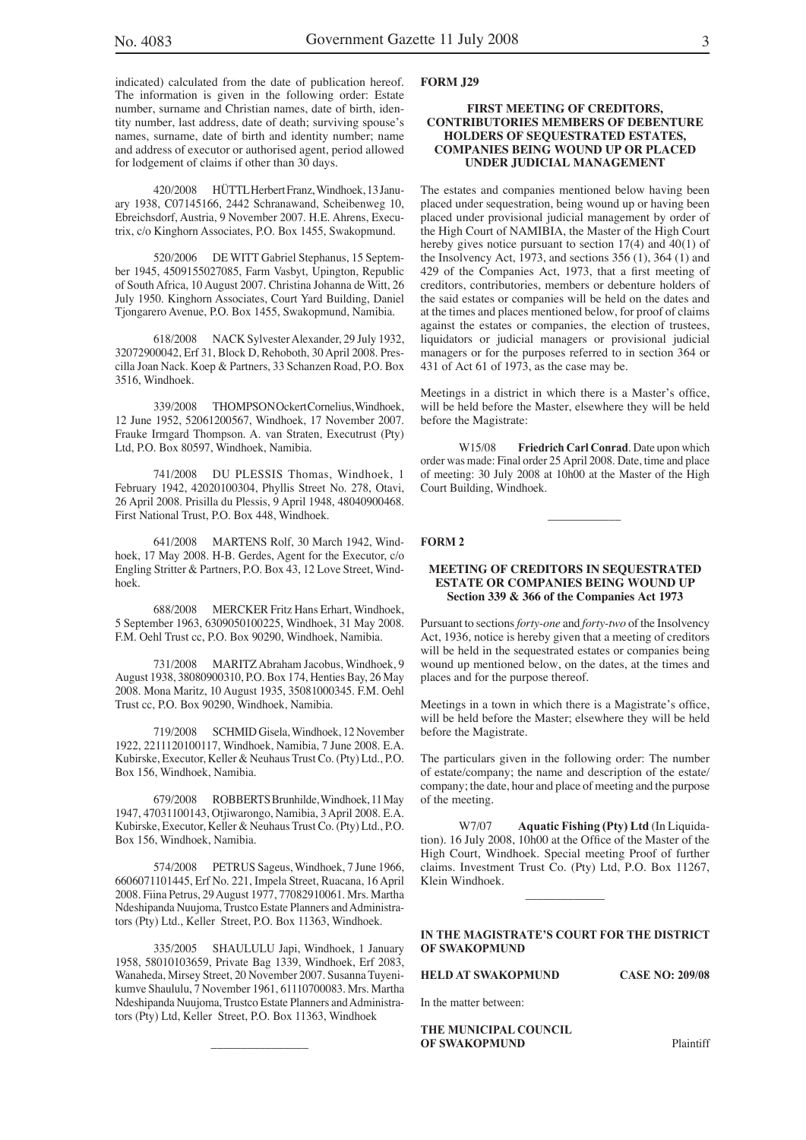indicated) calculated from the date of publication hereof. The information is given in the following order: Estate number, surname and Christian names, date of birth, identity number, last address, date of death; surviving spouse's names, surname, date of birth and identity number; name and address of executor or authorised agent, period allowed for lodgement of claims if other than 30 days.

420/2008 HÜTTL Herbert Franz, Windhoek, 13 January 1938, C07145166, 2442 Schranawand, Scheibenweg 10, Ebreichsdorf, Austria, 9 November 2007. H.E. Ahrens, Executrix, c/o Kinghorn Associates, P.O. Box 1455, Swakopmund.

520/2006 DE WITT Gabriel Stephanus, 15 September 1945, 4509155027085, Farm Vasbyt, Upington, Republic of South Africa, 10 August 2007. Christina Johanna de Witt, 26 July 1950. Kinghorn Associates, Court Yard Building, Daniel Tjongarero Avenue, P.O. Box 1455, Swakopmund, Namibia.

618/2008 NACK Sylvester Alexander, 29 July 1932, 32072900042, Erf 31, Block D, Rehoboth, 30 April 2008. Prescilla Joan Nack. Koep & Partners, 33 Schanzen Road, P.O. Box 3516, Windhoek.

339/2008 THOMPSON Ockert Cornelius, Windhoek, 12 June 1952, 52061200567, Windhoek, 17 November 2007. Frauke Irmgard Thompson. A. van Straten, Executrust (Pty) Ltd, P.O. Box 80597, Windhoek, Namibia.

741/2008 DU PLESSIS Thomas, Windhoek, 1 February 1942, 42020100304, Phyllis Street No. 278, Otavi, 26 April 2008. Prisilla du Plessis, 9 April 1948, 48040900468. First National Trust, P.O. Box 448, Windhoek.

641/2008 MARTENS Rolf, 30 March 1942, Windhoek, 17 May 2008. H-B. Gerdes, Agent for the Executor, c/o Engling Stritter & Partners, P.O. Box 43, 12 Love Street, Windhoek.

688/2008 MERCKER Fritz Hans Erhart, Windhoek, 5 September 1963, 6309050100225, Windhoek, 31 May 2008. F.M. Oehl Trust cc, P.O. Box 90290, Windhoek, Namibia.

731/2008 MARITZ Abraham Jacobus, Windhoek, 9 August 1938, 38080900310, P.O. Box 174, Henties Bay, 26 May 2008. Mona Maritz, 10 August 1935, 35081000345. F.M. Oehl Trust cc, P.O. Box 90290, Windhoek, Namibia.

719/2008 SCHMID Gisela, Windhoek, 12 November 1922, 2211120100117, Windhoek, Namibia, 7 June 2008. E.A. Kubirske, Executor, Keller & Neuhaus Trust Co. (Pty) Ltd., P.O. Box 156, Windhoek, Namibia.

679/2008 ROBBERTS Brunhilde, Windhoek, 11 May 1947, 47031100143, Otjiwarongo, Namibia, 3 April 2008. E.A. Kubirske, Executor, Keller & Neuhaus Trust Co. (Pty) Ltd., P.O. Box 156, Windhoek, Namibia.

574/2008 PETRUS Sageus, Windhoek, 7 June 1966, 6606071101445, Erf No. 221, Impela Street, Ruacana, 16 April 2008. Fiina Petrus, 29 August 1977, 77082910061. Mrs. Martha Ndeshipanda Nuujoma, Trustco Estate Planners and Administrators (Pty) Ltd., Keller Street, P.O. Box 11363, Windhoek.

335/2005 SHAULULU Japi, Windhoek, 1 January 1958, 58010103659, Private Bag 1339, Windhoek, Erf 2083, Wanaheda, Mirsey Street, 20 November 2007. Susanna Tuyenikumve Shaululu, 7 November 1961, 61110700083. Mrs. Martha Ndeshipanda Nuujoma, Trustco Estate Planners and Administrators (Pty) Ltd, Keller Street, P.O. Box 11363, Windhoek

 $\overline{\phantom{a}}$  , where  $\overline{\phantom{a}}$ 

#### **FORM J29**

## **FIRST MEETING OF CREDITORS, CONTRIBUTORIES MEMBERS OF DEBENTURE HOLDERS OF SEQUESTRATED ESTATES, COMPANIES BEING WOUND UP OR PLACED UNDER JUDICIAL MANAGEMENT**

The estates and companies mentioned below having been placed under sequestration, being wound up or having been placed under provisional judicial management by order of the High Court of NAMIBIA, the Master of the High Court hereby gives notice pursuant to section 17(4) and 40(1) of the Insolvency Act, 1973, and sections 356 (1), 364 (1) and 429 of the Companies Act, 1973, that a first meeting of creditors, contributories, members or debenture holders of the said estates or companies will be held on the dates and at the times and places mentioned below, for proof of claims against the estates or companies, the election of trustees, liquidators or judicial managers or provisional judicial managers or for the purposes referred to in section 364 or 431 of Act 61 of 1973, as the case may be.

Meetings in a district in which there is a Master's office, will be held before the Master, elsewhere they will be held before the Magistrate:

W15/08 **Friedrich Carl Conrad**. Date upon which order was made: Final order 25 April 2008. Date, time and place of meeting: 30 July 2008 at 10h00 at the Master of the High Court Building, Windhoek.

 $\overline{\phantom{a}}$ 

#### **FORM 2**

## **MEETING OF CREDITORS IN SEQUESTRATED ESTATE OR COMPANIES BEING WOUND UP Section 339 & 366 of the Companies Act 1973**

Pursuant to sections *forty-one* and *forty-two* of the Insolvency Act, 1936, notice is hereby given that a meeting of creditors will be held in the sequestrated estates or companies being wound up mentioned below, on the dates, at the times and places and for the purpose thereof.

Meetings in a town in which there is a Magistrate's office, will be held before the Master; elsewhere they will be held before the Magistrate.

The particulars given in the following order: The number of estate/company; the name and description of the estate/ company; the date, hour and place of meeting and the purpose of the meeting.

W7/07 **Aquatic Fishing (Pty) Ltd** (In Liquidation). 16 July 2008, 10h00 at the Office of the Master of the High Court, Windhoek. Special meeting Proof of further claims. Investment Trust Co. (Pty) Ltd, P.O. Box 11267, Klein Windhoek.

 $\overline{\phantom{a}}$ 

#### **IN THE MAGISTRATE'S COURT FOR THE DISTRICT OF SWAKOPMUND**

#### **HELD AT SWAKOPMUND CASE NO: 209/08**

In the matter between:

**THE MUNICIPAL COUNCIL OF SWAKOPMUND** Plaintiff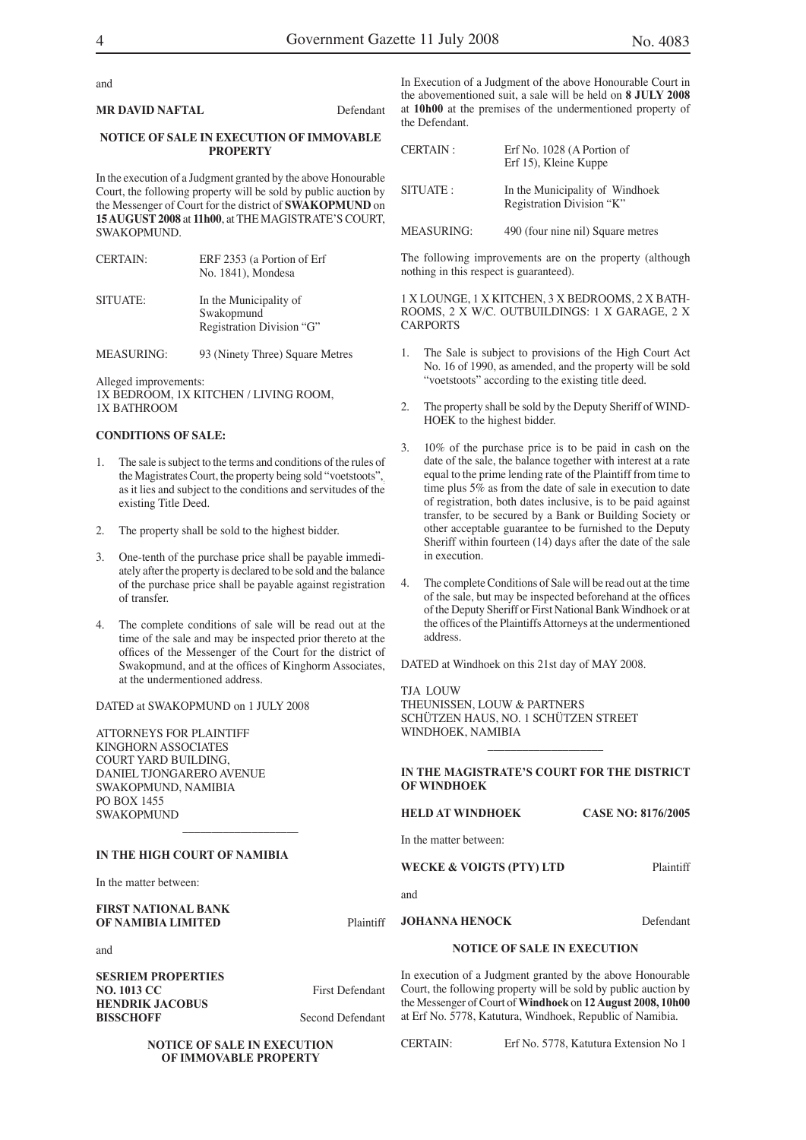and

## **MR DAVID NAFTAL** Defendant

#### **NOTICE OF SALE IN EXECUTION OF IMMOVABLE PROPERTY**

In the execution of a Judgment granted by the above Honourable Court, the following property will be sold by public auction by the Messenger of Court for the district of **SWAKOPMUND** on **15 AUGUST 2008** at **11h00**, at THE MAGISTRATE'S COURT, SWAKOPMUND.

| <b>CERTAIN:</b> | ERF 2353 (a Portion of Erf<br>No. 1841), Mondesa                  |
|-----------------|-------------------------------------------------------------------|
| SITUATE:        | In the Municipality of<br>Swakopmund<br>Registration Division "G" |

MEASURING: 93 (Ninety Three) Square Metres

Alleged improvements: 1X BEDROOM, 1X KITCHEN / LIVING ROOM, 1X BATHROOM

## **CONDITIONS OF SALE:**

- The sale is subject to the terms and conditions of the rules of the Magistrates Court, the property being sold "voetstoots", as it lies and subject to the conditions and servitudes of the existing Title Deed.
- 2. The property shall be sold to the highest bidder.
- 3. One-tenth of the purchase price shall be payable immediately after the property is declared to be sold and the balance of the purchase price shall be payable against registration of transfer.
- 4. The complete conditions of sale will be read out at the time of the sale and may be inspected prior thereto at the offices of the Messenger of the Court for the district of Swakopmund, and at the offices of Kinghorm Associates, at the undermentioned address.

\_\_\_\_\_\_\_\_\_\_\_\_\_\_\_\_\_\_\_\_

DATED at SWAKOPMUND on 1 JULY 2008

ATTORNEYS FOR PLAINTIFF KINGHORN ASSOCIATES COURT YARD BUILDING, DANIEL TJONGARERO AVENUE SWAKOPMUND, NAMIBIA PO BOX 1455 **SWAKOPMUND** 

#### **IN THE HIGH COURT OF NAMIBIA**

In the matter between:

#### **FIRST NATIONAL BANK OF NAMIBIA LIMITED** Plaintiff

and

**SESRIEM PROPERTIES NO. 1013 CC** First Defendant **HENDRIK JACOBUS BISSCHOFF** Second Defendant In Execution of a Judgment of the above Honourable Court in the abovementioned suit, a sale will be held on **8 JULY 2008** at **10h00** at the premises of the undermentioned property of the Defendant.

| CERTAIN:          | Erf No. 1028 (A Portion of<br>Erf 15), Kleine Kuppe          |
|-------------------|--------------------------------------------------------------|
| SITUATE:          | In the Municipality of Windhoek<br>Registration Division "K" |
| <b>MEASURING:</b> | 490 (four nine nil) Square metres                            |

The following improvements are on the property (although nothing in this respect is guaranteed).

1 X LOUNGE, 1 X KITCHEN, 3 X BEDROOMS, 2 X BATH-ROOMS, 2 X W/C. OUTBUILDINGS: 1 X GARAGE, 2 X CARPORTS

- 1. The Sale is subject to provisions of the High Court Act No. 16 of 1990, as amended, and the property will be sold "voetstoots" according to the existing title deed.
- 2. The property shall be sold by the Deputy Sheriff of WIND-HOEK to the highest bidder.
- 3. 10% of the purchase price is to be paid in cash on the date of the sale, the balance together with interest at a rate equal to the prime lending rate of the Plaintiff from time to time plus 5% as from the date of sale in execution to date of registration, both dates inclusive, is to be paid against transfer, to be secured by a Bank or Building Society or other acceptable guarantee to be furnished to the Deputy Sheriff within fourteen (14) days after the date of the sale in execution.
- 4. The complete Conditions of Sale will be read out at the time of the sale, but may be inspected beforehand at the offices of the Deputy Sheriff or First National Bank Windhoek or at the offices of the Plaintiffs Attorneys at the undermentioned address.

DATED at Windhoek on this 21st day of MAY 2008.

TJA LOUW THEUNISSEN, LOUW & PARTNERS SCHÜTZEN HAUS, NO. 1 SCHÜTZEN STREET WINDHOEK, NAMIBIA

## **IN THE MAGISTRATE'S COURT FOR THE DISTRICT OF WINDHOEK**

\_\_\_\_\_\_\_\_\_\_\_\_\_\_\_\_\_\_\_\_

| <b>HELD AT WINDHOEK</b>  | <b>CASE NO: 8176/2005</b> |
|--------------------------|---------------------------|
| In the matter between:   |                           |
| WECKE & VOIGTS (PTY) LTD | Plaintiff                 |
| and                      |                           |

**JOHANNA HENOCK** Defendant

## **NOTICE OF SALE IN EXECUTION**

In execution of a Judgment granted by the above Honourable Court, the following property will be sold by public auction by the Messenger of Court of **Windhoek** on **12 August 2008, 10h00** at Erf No. 5778, Katutura, Windhoek, Republic of Namibia.

**NOTICE OF SALE IN EXECUTION OF IMMOVABLE PROPERTY**

CERTAIN: Erf No. 5778, Katutura Extension No 1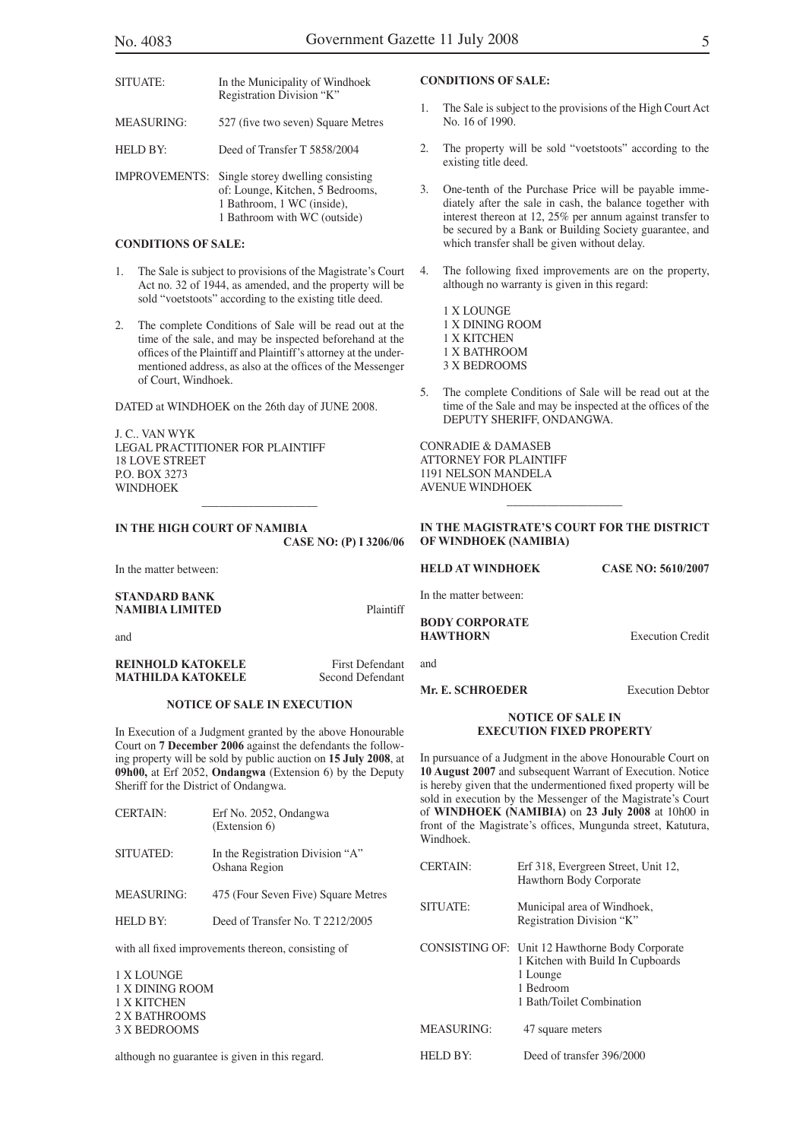| SITUATE:             | In the Municipality of Windhoek<br>Registration Division "K"                                                                        |
|----------------------|-------------------------------------------------------------------------------------------------------------------------------------|
| <b>MEASURING:</b>    | 527 (five two seven) Square Metres                                                                                                  |
| <b>HELD BY:</b>      | Deed of Transfer T 5858/2004                                                                                                        |
| <b>IMPROVEMENTS:</b> | Single storey dwelling consisting<br>of: Lounge, Kitchen, 5 Bedrooms,<br>1 Bathroom, 1 WC (inside),<br>1 Bathroom with WC (outside) |

## **CONDITIONS OF SALE:**

- 1. The Sale is subject to provisions of the Magistrate's Court Act no. 32 of 1944, as amended, and the property will be sold "voetstoots" according to the existing title deed.
- 2. The complete Conditions of Sale will be read out at the time of the sale, and may be inspected beforehand at the offices of the Plaintiff and Plaintiff's attorney at the undermentioned address, as also at the offices of the Messenger of Court, Windhoek.

DATED at WINDHOEK on the 26th day of JUNE 2008.

J. C.. VAN WYK LEGAL PRACTITIONER FOR PLAINTIFF 18 LOVE STREET P.O. BOX 3273 **WINDHOEK** 

**IN THE HIGH COURT OF NAMIBIA CASE NO: (P) I 3206/06**

\_\_\_\_\_\_\_\_\_\_\_\_\_\_\_\_\_\_\_\_

In the matter between:

## **STANDARD BANK NAMIBIA LIMITED** Plaintiff

and

## **REINHOLD KATOKELE** First Defendant<br> **MATHILDA KATOKELE** Second Defendant **MATHILDA KATOKELE**

## **NOTICE OF SALE IN EXECUTION**

In Execution of a Judgment granted by the above Honourable Court on **7 December 2006** against the defendants the following property will be sold by public auction on **15 July 2008**, at **09h00,** at Erf 2052, **Ondangwa** (Extension 6) by the Deputy Sheriff for the District of Ondangwa.

| <b>CERTAIN:</b>                                    | Erf No. 2052, Ondangwa<br>(Extension 6)           |
|----------------------------------------------------|---------------------------------------------------|
| SITUATED:                                          | In the Registration Division "A"<br>Oshana Region |
| <b>MEASURING:</b>                                  | 475 (Four Seven Five) Square Metres               |
| HELD BY:                                           | Deed of Transfer No. T 2212/2005                  |
| with all fixed improvements thereon, consisting of |                                                   |
| $1.37.1$ $\cap$ $\cap$ $\cap$                      |                                                   |

1 X LOUNGE 1 X DINING ROOM 1 X KITCHEN 2 X BATHROOMS 3 X BEDROOMS

although no guarantee is given in this regard.

## **CONDITIONS OF SALE:**

- 1. The Sale is subject to the provisions of the High Court Act No. 16 of 1990.
- 2. The property will be sold "voetstoots" according to the existing title deed.
- 3. One-tenth of the Purchase Price will be payable immediately after the sale in cash, the balance together with interest thereon at 12, 25% per annum against transfer to be secured by a Bank or Building Society guarantee, and which transfer shall be given without delay.
- 4. The following fixed improvements are on the property, although no warranty is given in this regard:

1 X LOUNGE 1 X DINING ROOM 1 X KITCHEN 1 X BATHROOM 3 X BEDROOMS

5. The complete Conditions of Sale will be read out at the time of the Sale and may be inspected at the offices of the DEPUTY SHERIFF, ONDANGWA.

CONRADIE & DAMASEB ATTORNEY FOR PLAINTIFF 1191 NELSON MANDELA AVENUE WINDHOEK

**IN THE MAGISTRATE'S COURT FOR THE DISTRICT OF WINDHOEK (NAMIBIA)**

 $\overline{\phantom{a}}$  , where the contract of the contract of the contract of the contract of the contract of the contract of the contract of the contract of the contract of the contract of the contract of the contract of the contr

## **HELD AT WINDHOEK CASE NO: 5610/2007**

In the matter between:

**BODY CORPORATE** 

**Execution Credit** 

and

**Mr. E. SCHROEDER** Execution Debtor

## **NOTICE OF SALE IN EXECUTION FIXED PROPERTY**

In pursuance of a Judgment in the above Honourable Court on **10 August 2007** and subsequent Warrant of Execution. Notice is hereby given that the undermentioned fixed property will be sold in execution by the Messenger of the Magistrate's Court of **WINDHOEK (NAMIBIA)** on **23 July 2008** at 10h00 in front of the Magistrate's offices, Mungunda street, Katutura, Windhoek.

| <b>CERTAIN:</b>   | Erf 318, Evergreen Street, Unit 12,<br>Hawthorn Body Corporate                                                                             |
|-------------------|--------------------------------------------------------------------------------------------------------------------------------------------|
| SITUATE:          | Municipal area of Windhoek,<br>Registration Division "K"                                                                                   |
|                   | CONSISTING OF: Unit 12 Hawthorne Body Corporate<br>1 Kitchen with Build In Cupboards<br>1 Lounge<br>1 Bedroom<br>1 Bath/Toilet Combination |
| <b>MEASURING:</b> | 47 square meters                                                                                                                           |
| HELD BY:          | Deed of transfer 396/2000                                                                                                                  |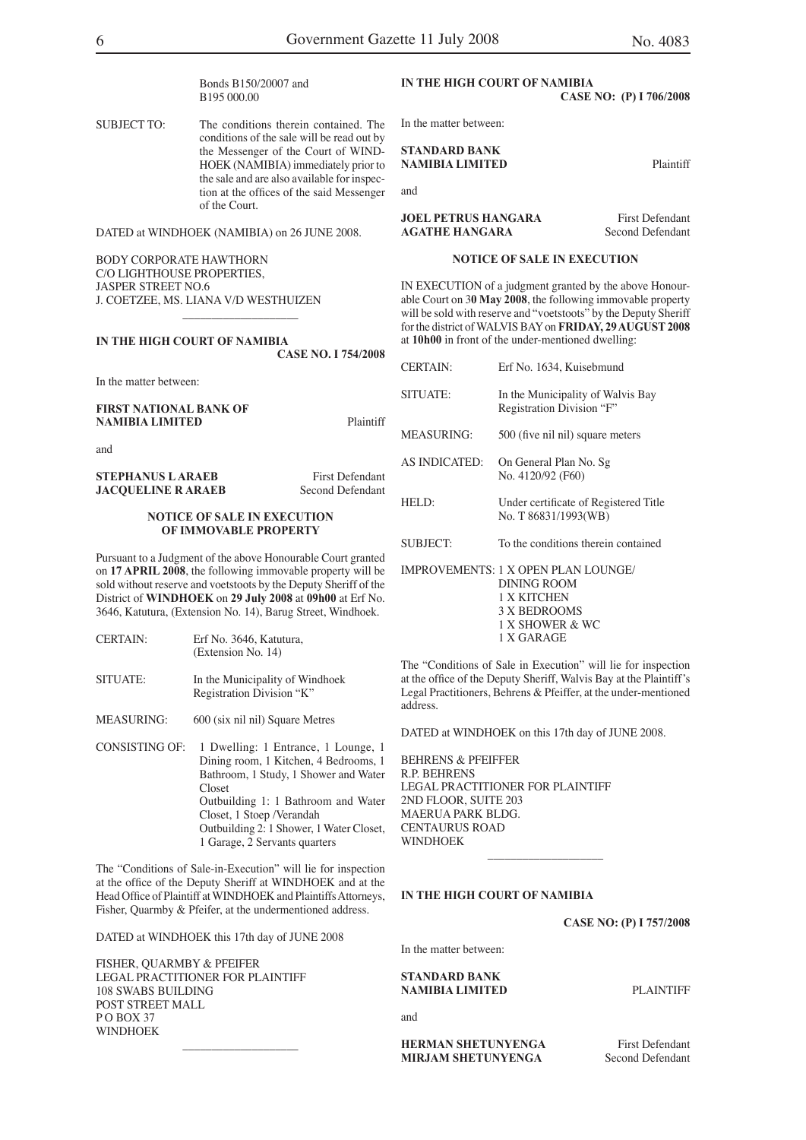Bonds B150/20007 and B195 000.00

SUBJECT TO: The conditions therein contained. The conditions of the sale will be read out by the Messenger of the Court of WIND-HOEK (NAMIBIA) immediately prior to the sale and are also available for inspection at the offices of the said Messenger of the Court.

DATED at WINDHOEK (NAMIBIA) on 26 JUNE 2008.

BODY CORPORATE HAWTHORN C/O LIGHTHOUSE PROPERTIES, JASPER STREET NO.6 J. COETZEE, MS. LIANA V/D WESTHUIZEN

#### **IN THE HIGH COURT OF NAMIBIA CASE NO. I 754/2008**

\_\_\_\_\_\_\_\_\_\_\_\_\_\_\_\_\_\_\_\_

In the matter between:

**FIRST NATIONAL BANK OF NAMIBIA LIMITED** Plaintiff

and

**STEPHANUS LARAEB** First Defendant **JACQUELINE R ARAEB** Second Defendant

## **NOTICE OF SALE IN EXECUTION OF IMMOVABLE PROPERTY**

Pursuant to a Judgment of the above Honourable Court granted on **17 APRIL 2008**, the following immovable property will be sold without reserve and voetstoots by the Deputy Sheriff of the District of **WINDHOEK** on **29 July 2008** at **09h00** at Erf No. 3646, Katutura, (Extension No. 14), Barug Street, Windhoek.

| <b>CERTAIN:</b>       | Erf No. 3646, Katutura,<br>(Extension No. 14)                                                                                                     |
|-----------------------|---------------------------------------------------------------------------------------------------------------------------------------------------|
| SITUATE:              | In the Municipality of Windhoek<br>Registration Division "K"                                                                                      |
| <b>MEASURING:</b>     | 600 (six nil nil) Square Metres                                                                                                                   |
| <b>CONSISTING OF:</b> | 1 Dwelling: 1 Entrance, 1 Lounge, 1<br>Dining room, 1 Kitchen, 4 Bedrooms, 1<br>Bathroom, 1 Study, 1 Shower and Water<br>Closet<br>$-1$ $-1$ $-1$ |

Outbuilding 1: 1 Bathroom and Water Closet, 1 Stoep /Verandah Outbuilding 2: 1 Shower, 1 Water Closet, 1 Garage, 2 Servants quarters

The "Conditions of Sale-in-Execution" will lie for inspection at the office of the Deputy Sheriff at WINDHOEK and at the Head Office of Plaintiff at WINDHOEK and Plaintiffs Attorneys, Fisher, Quarmby & Pfeifer, at the undermentioned address.

\_\_\_\_\_\_\_\_\_\_\_\_\_\_\_\_\_\_\_\_

DATED at WINDHOEK this 17th day of JUNE 2008

FISHER, QUARMBY & PFEIFER LEGAL PRACTITIONER FOR PLAINTIFF 108 SWABS BUILDING POST STREET MALL P O BOX 37 **WINDHOEK** 

## **IN THE HIGH COURT OF NAMIBIA CASE NO: (P) I 706/2008**

In the matter between:

## **STANDARD BANK NAMIBIA LIMITED** Plaintiff

and

**JOEL PETRUS HANGARA** First Defendant<br> **AGATHE HANGARA** Second Defendant **AGATHE HANGARA** 

## **NOTICE OF SALE IN EXECUTION**

IN EXECUTION of a judgment granted by the above Honourable Court on 3**0 May 2008**, the following immovable property will be sold with reserve and "voetstoots" by the Deputy Sheriff for the district of WALVIS BAY on **FRIDAY, 29 AUGUST 2008** at **10h00** in front of the under-mentioned dwelling:

| <b>CERTAIN:</b>   | Erf No. 1634, Kuisebmund                                                                        |
|-------------------|-------------------------------------------------------------------------------------------------|
| SITUATE:          | In the Municipality of Walvis Bay<br>Registration Division "F"                                  |
| <b>MEASURING:</b> | 500 (five nil nil) square meters                                                                |
| AS INDICATED:     | On General Plan No. Sg<br>No. 4120/92 (F60)                                                     |
| HELD:             | Under certificate of Registered Title<br>No. T 86831/1993(WB)                                   |
| SUBJECT:          | To the conditions therein contained                                                             |
|                   | <b>IMPROVEMENTS: 1 X OPEN PLAN LOUNGE/</b><br><b>DINING ROOM</b><br>1 X KITCHEN<br>3 X BEDROOMS |

The "Conditions of Sale in Execution" will lie for inspection at the office of the Deputy Sheriff, Walvis Bay at the Plaintiff's Legal Practitioners, Behrens & Pfeiffer, at the under-mentioned address.

 1 X SHOWER & WC 1 X GARAGE

DATED at WINDHOEK on this 17th day of JUNE 2008.

 $\_$ 

BEHRENS & PFEIFFER R.P. BEHRENS LEGAL PRACTITIONER FOR PLAINTIFF 2ND FLOOR, SUITE 203 MAERUA PARK BLDG. CENTAURUS ROAD **WINDHOFK** 

## **IN THE HIGH COURT OF NAMIBIA**

**CASE NO: (P) I 757/2008**

In the matter between:

**STANDARD BANK NAMIBIA LIMITED** PLAINTIFF

and

**HERMAN SHETUNYENGA** First Defendant<br> **MIRJAM SHETUNYENGA** Second Defendant **MIRJAM SHETUNYENGA**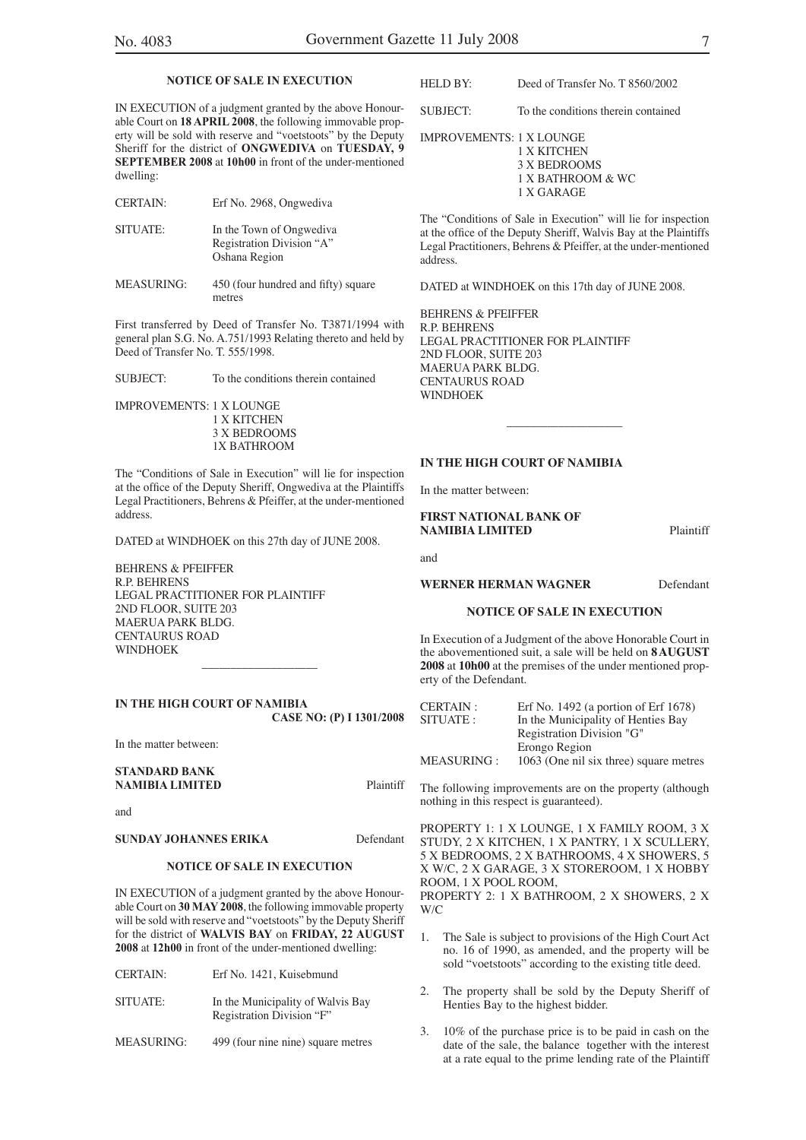## **NOTICE OF SALE IN EXECUTION**

IN EXECUTION of a judgment granted by the above Honourable Court on **18 APRIL 2008**, the following immovable property will be sold with reserve and "voetstoots" by the Deputy Sheriff for the district of **ONGWEDIVA** on **TUESDAY, 9 SEPTEMBER 2008** at **10h00** in front of the under-mentioned dwelling:

| <b>CERTAIN:</b> | Erf No. 2968, Ongwediva |  |
|-----------------|-------------------------|--|
|-----------------|-------------------------|--|

- SITUATE: In the Town of Ongwediva Registration Division "A" Oshana Region
- MEASURING: 450 (four hundred and fifty) square metres

First transferred by Deed of Transfer No. T3871/1994 with general plan S.G. No. A.751/1993 Relating thereto and held by Deed of Transfer No. T. 555/1998.

SUBJECT: To the conditions therein contained

IMPROVEMENTS: 1 X LOUNGE 1 X KITCHEN 3 X BEDROOMS 1X BATHROOM

The "Conditions of Sale in Execution" will lie for inspection at the office of the Deputy Sheriff, Ongwediva at the Plaintiffs Legal Practitioners, Behrens & Pfeiffer, at the under-mentioned address.

DATED at WINDHOEK on this 27th day of JUNE 2008.

BEHRENS & PFEIFFER R.P. BEHRENS LEGAL PRACTITIONER FOR PLAINTIFF 2ND FLOOR, SUITE 203 MAERUA PARK BLDG. CENTAURUS ROAD WINDHOEK

**IN THE HIGH COURT OF NAMIBIA CASE NO: (P) I 1301/2008**

\_\_\_\_\_\_\_\_\_\_\_\_\_\_\_\_\_\_\_\_

In the matter between:

| STANDARD BANK   |           |
|-----------------|-----------|
| NAMIBIA LIMITED | Plaintiff |

and

**SUNDAY JOHANNES ERIKA** Defendant

## **NOTICE OF SALE IN EXECUTION**

IN EXECUTION of a judgment granted by the above Honourable Court on **30 MAY 2008**, the following immovable property will be sold with reserve and "voetstoots" by the Deputy Sheriff for the district of **WALVIS BAY** on **FRIDAY, 22 AUGUST 2008** at **12h00** in front of the under-mentioned dwelling:

- SITUATE: In the Municipality of Walvis Bay Registration Division "F"
- MEASURING: 499 (four nine nine) square metres

| HELD BY: | Deed of Transfer No. T 8560/2002 |  |
|----------|----------------------------------|--|
|          |                                  |  |

SUBJECT: To the conditions therein contained

IMPROVEMENTS: 1 X LOUNGE 1 X KITCHEN 3 X BEDROOMS 1 X BATHROOM & WC 1 X GARAGE

The "Conditions of Sale in Execution" will lie for inspection at the office of the Deputy Sheriff, Walvis Bay at the Plaintiffs Legal Practitioners, Behrens & Pfeiffer, at the under-mentioned address.

DATED at WINDHOEK on this 17th day of JUNE 2008.

\_\_\_\_\_\_\_\_\_\_\_\_\_\_\_\_\_\_\_\_

BEHRENS & PFEIFFER R.P. BEHRENS LEGAL PRACTITIONER FOR PLAINTIFF 2ND FLOOR, SUITE 203 MAERUA PARK BLDG. CENTAURUS ROAD **WINDHOEK** 

## **IN THE HIGH COURT OF NAMIBIA**

In the matter between:

## **FIRST NATIONAL BANK OF NAMIBIA LIMITED** Plaintiff

and

## **WERNER HERMAN WAGNER** Defendant

## **NOTICE OF SALE IN EXECUTION**

In Execution of a Judgment of the above Honorable Court in the abovementioned suit, a sale will be held on **8AUGUST 2008** at **10h00** at the premises of the under mentioned property of the Defendant.

| CERTAIN:          | Erf No. $1492$ (a portion of Erf 1678) |
|-------------------|----------------------------------------|
| SITUATE:          | In the Municipality of Henties Bay     |
|                   | Registration Division "G"              |
|                   | Erongo Region                          |
| <b>MEASURING:</b> | 1063 (One nil six three) square metres |
|                   |                                        |

The following improvements are on the property (although nothing in this respect is guaranteed).

PROPERTY 1: 1 X LOUNGE, 1 X FAMILY ROOM, 3 X STUDY, 2 X KITCHEN, 1 X PANTRY, 1 X SCULLERY, 5 X BEDROOMS, 2 X BATHROOMS, 4 X SHOWERS, 5 X W/C, 2 X GARAGE, 3 X STOREROOM, 1 X HOBBY ROOM, 1 X POOL ROOM, PROPERTY 2: 1 X BATHROOM, 2 X SHOWERS, 2 X W/C

- 1. The Sale is subject to provisions of the High Court Act no. 16 of 1990, as amended, and the property will be sold "voetstoots" according to the existing title deed.
- 2. The property shall be sold by the Deputy Sheriff of Henties Bay to the highest bidder.
- 3. 10% of the purchase price is to be paid in cash on the date of the sale, the balance together with the interest at a rate equal to the prime lending rate of the Plaintiff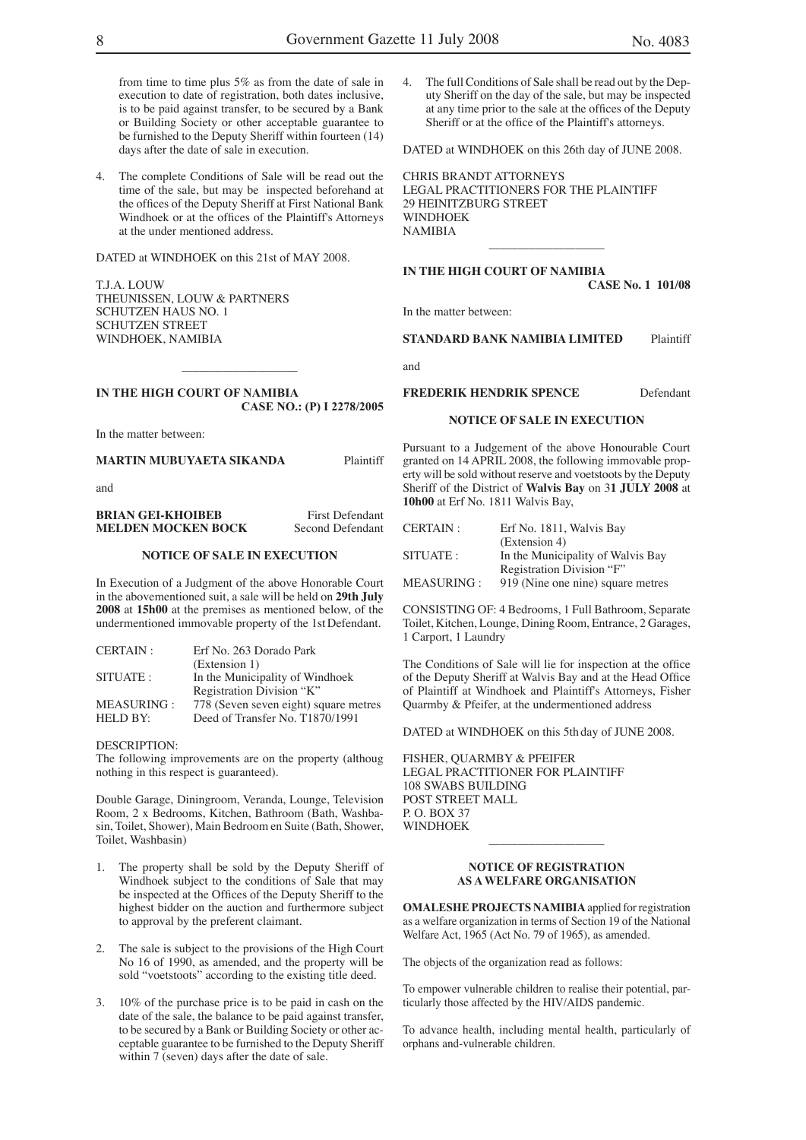from time to time plus 5% as from the date of sale in execution to date of registration, both dates inclusive, is to be paid against transfer, to be secured by a Bank or Building Society or other acceptable guarantee to be furnished to the Deputy Sheriff within fourteen (14) days after the date of sale in execution.

4. The complete Conditions of Sale will be read out the time of the sale, but may be inspected beforehand at the offices of the Deputy Sheriff at First National Bank Windhoek or at the offices of the Plaintiff's Attorneys at the under mentioned address.

DATED at WINDHOEK on this 21st of MAY 2008.

T.J.A. LOUW THEUNISSEN, LOUW & PARTNERS SCHUTZEN HAUS NO. 1 SCHUTZEN STREET WINDHOEK, NAMIBIA

## **IN THE HIGH COURT OF NAMIBIA CASE NO.: (P) I 2278/2005**

\_\_\_\_\_\_\_\_\_\_\_\_\_\_\_\_\_\_\_\_

In the matter between:

## **MARTIN MUBUYAETA SIKANDA** Plaintiff

and

## **BRIAN GEI-KHOIBEB** First Defendant<br> **MELDEN MOCKEN BOCK** Second Defendant **MELDEN MOCKEN BOCK**

#### **NOTICE OF SALE IN EXECUTION**

In Execution of a Judgment of the above Honorable Court in the abovementioned suit, a sale will be held on **29th July 2008** at **15h00** at the premises as mentioned below, of the undermentioned immovable property of the 1stDefendant.

| CERTAIN:          | Erf No. 263 Dorado Park               |
|-------------------|---------------------------------------|
|                   | (Extension 1)                         |
| SITUATE:          | In the Municipality of Windhoek       |
|                   | Registration Division "K"             |
| <b>MEASURING:</b> | 778 (Seven seven eight) square metres |
| HELD BY:          | Deed of Transfer No. T1870/1991       |

#### DESCRIPTION:

The following improvements are on the property (althoug nothing in this respect is guaranteed).

Double Garage, Diningroom, Veranda, Lounge, Television Room, 2 x Bedrooms, Kitchen, Bathroom (Bath, Washbasin, Toilet, Shower), Main Bedroom en Suite (Bath, Shower, Toilet, Washbasin)

- 1. The property shall be sold by the Deputy Sheriff of Windhoek subject to the conditions of Sale that may be inspected at the Offices of the Deputy Sheriff to the highest bidder on the auction and furthermore subject to approval by the preferent claimant.
- 2. The sale is subject to the provisions of the High Court No 16 of 1990, as amended, and the property will be sold "voetstoots" according to the existing title deed.
- 3. 10% of the purchase price is to be paid in cash on the date of the sale, the balance to be paid against transfer, to be secured by a Bank or Building Society or other acceptable guarantee to be furnished to the Deputy Sheriff within 7 (seven) days after the date of sale.

The full Conditions of Sale shall be read out by the Deputy Sheriff on the day of the sale, but may be inspected at any time prior to the sale at the offices of the Deputy Sheriff or at the office of the Plaintiff's attorneys.

DATED at WINDHOEK on this 26th day of JUNE 2008.

CHRIS BRANDT ATTORNEYS LEGAL PRACTITIONERS FOR THE PLAINTIFF 29 HEINITZBURG STREET WINDHOEK NAMIBIA

## **IN THE HIGH COURT OF NAMIBIA**

 **CASE No. 1 101/08**

In the matter between:

#### **STANDARD BANK NAMIBIA LIMITED** Plaintiff

\_\_\_\_\_\_\_\_\_\_\_\_\_\_\_\_\_\_\_\_

and

## **FREDERIK HENDRIK SPENCE** Defendant

## **NOTICE OF SALE IN EXECUTION**

Pursuant to a Judgement of the above Honourable Court granted on 14 APRIL 2008, the following immovable property will be sold without reserve and voetstoots by the Deputy Sheriff of the District of **Walvis Bay** on 3**1 JULY 2008** at **10h00** at Erf No. 1811 Walvis Bay,

| CERTAIN :         | Erf No. 1811, Walvis Bay          |
|-------------------|-----------------------------------|
|                   | (Extension 4)                     |
| SITUATE :         | In the Municipality of Walvis Bay |
|                   | Registration Division "F"         |
| <b>MEASURING:</b> | 919 (Nine one nine) square metres |
|                   |                                   |

CONSISTING OF: 4 Bedrooms, 1 Full Bathroom, Separate Toilet, Kitchen, Lounge, Dining Room, Entrance, 2 Garages, 1 Carport, 1 Laundry

The Conditions of Sale will lie for inspection at the office of the Deputy Sheriff at Walvis Bay and at the Head Office of Plaintiff at Windhoek and Plaintiff's Attorneys, Fisher Quarmby & Pfeifer, at the undermentioned address

DATED at WINDHOEK on this 5th day of JUNE 2008.

FISHER, QUARMBY & PFEIFER LEGAL PRACTITIONER FOR PLAINTIFF 108 SWABS BUILDING POST STREET MALL P. O. BOX 37 **WINDHOEK** 

## **NOTICE OF REGISTRATION AS A WELFARE ORGANISATION**

\_\_\_\_\_\_\_\_\_\_\_\_\_\_\_\_\_\_\_\_

**OMALESHE PROJECTS NAMIBIA** applied for registration as a welfare organization in terms of Section 19 of the National Welfare Act, 1965 (Act No. 79 of 1965), as amended.

The objects of the organization read as follows:

To empower vulnerable children to realise their potential, particularly those affected by the HIV/AIDS pandemic.

To advance health, including mental health, particularly of orphans and-vulnerable children.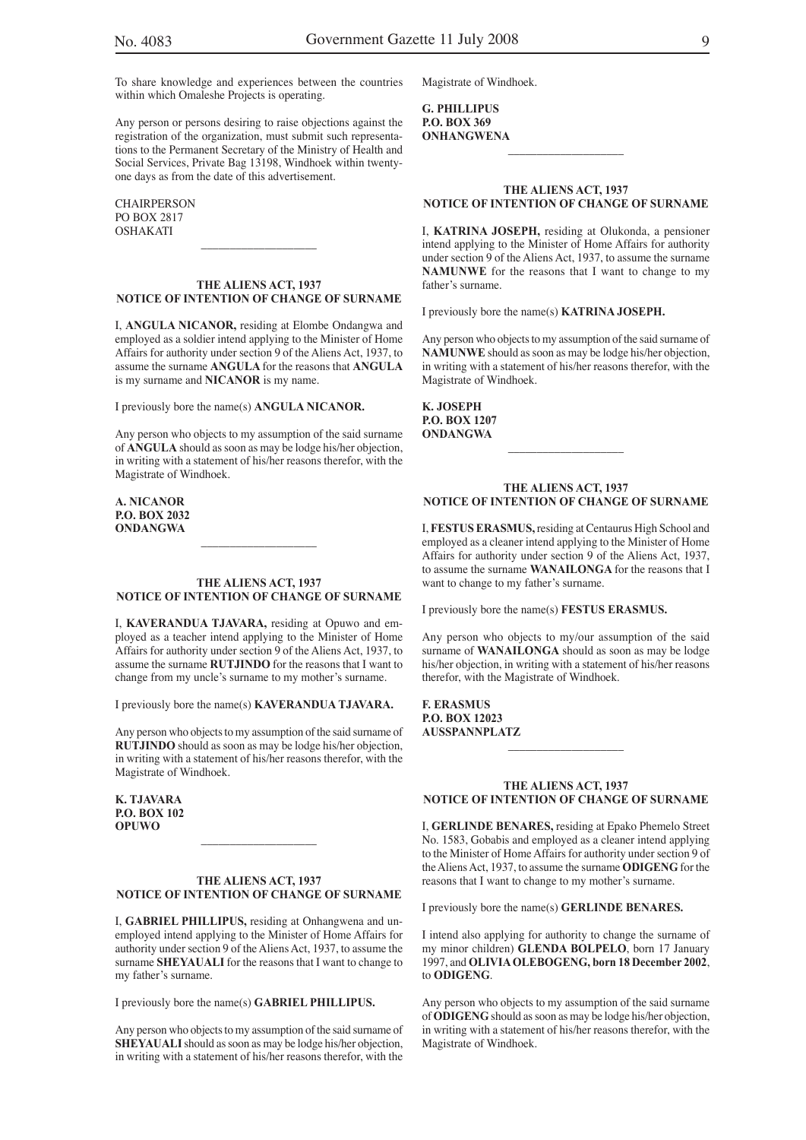To share knowledge and experiences between the countries within which Omaleshe Projects is operating.

Any person or persons desiring to raise objections against the registration of the organization, must submit such representations to the Permanent Secretary of the Ministry of Health and Social Services, Private Bag 13198, Windhoek within twentyone days as from the date of this advertisement.

**CHAIRPERSON** PO BOX 2817 OSHAKATI

#### **THE ALIENS ACT, 1937 NOTICE OF INTENTION OF CHANGE OF SURNAME**

\_\_\_\_\_\_\_\_\_\_\_\_\_\_\_\_\_\_\_\_

I, **ANGULA NICANOR,** residing at Elombe Ondangwa and employed as a soldier intend applying to the Minister of Home Affairs for authority under section 9 of the Aliens Act, 1937, to assume the surname **ANGULA** for the reasons that **ANGULA** is my surname and **NICANOR** is my name.

I previously bore the name(s) **ANGULA NICANOR.**

Any person who objects to my assumption of the said surname of **ANGULA** should as soon as may be lodge his/her objection, in writing with a statement of his/her reasons therefor, with the Magistrate of Windhoek.

## **A. NICANOR P.O. BOX 2032 ONDANGWA**

## **THE ALIENS ACT, 1937 NOTICE OF INTENTION OF CHANGE OF SURNAME**

\_\_\_\_\_\_\_\_\_\_\_\_\_\_\_\_\_\_\_\_

I, **KAVERANDUA TJAVARA,** residing at Opuwo and employed as a teacher intend applying to the Minister of Home Affairs for authority under section 9 of the Aliens Act, 1937, to assume the surname **RUTJINDO** for the reasons that I want to change from my uncle's surname to my mother's surname.

I previously bore the name(s) **KAVERANDUA TJAVARA.**

Any person who objects to my assumption of the said surname of **RUTJINDO** should as soon as may be lodge his/her objection, in writing with a statement of his/her reasons therefor, with the Magistrate of Windhoek.

**K. TJAVARA P.O. BOX 102 OPUWO**

## **THE ALIENS ACT, 1937 NOTICE OF INTENTION OF CHANGE OF SURNAME**

\_\_\_\_\_\_\_\_\_\_\_\_\_\_\_\_\_\_\_\_

I, **GABRIEL PHILLIPUS,** residing at Onhangwena and unemployed intend applying to the Minister of Home Affairs for authority under section 9 of the Aliens Act, 1937, to assume the surname **SHEYAUALI** for the reasons that I want to change to my father's surname.

I previously bore the name(s) **GABRIEL PHILLIPUS.**

Any person who objects to my assumption of the said surname of **SHEYAUALI** should as soon as may be lodge his/her objection, in writing with a statement of his/her reasons therefor, with the

Magistrate of Windhoek.

**G. PHILLIPUS P.O. BOX 369 ONHANGWENA**

## **THE ALIENS ACT, 1937 NOTICE OF INTENTION OF CHANGE OF SURNAME**

\_\_\_\_\_\_\_\_\_\_\_\_\_\_\_\_\_\_\_\_

I, **KATRINA JOSEPH,** residing at Olukonda, a pensioner intend applying to the Minister of Home Affairs for authority under section 9 of the Aliens Act, 1937, to assume the surname **NAMUNWE** for the reasons that I want to change to my father's surname.

I previously bore the name(s) **KATRINA JOSEPH.**

Any person who objects to my assumption of the said surname of **NAMUNWE** should as soon as may be lodge his/her objection, in writing with a statement of his/her reasons therefor, with the Magistrate of Windhoek.

**K. JOSEPH P.O. BOX 1207 ONDANGWA**

#### **THE ALIENS ACT, 1937 NOTICE OF INTENTION OF CHANGE OF SURNAME**

\_\_\_\_\_\_\_\_\_\_\_\_\_\_\_\_\_\_\_\_

I, **FESTUS ERASMUS,** residing at Centaurus High School and employed as a cleaner intend applying to the Minister of Home Affairs for authority under section 9 of the Aliens Act, 1937, to assume the surname **WANAILONGA** for the reasons that I want to change to my father's surname.

I previously bore the name(s) **FESTUS ERASMUS.**

Any person who objects to my/our assumption of the said surname of **WANAILONGA** should as soon as may be lodge his/her objection, in writing with a statement of his/her reasons therefor, with the Magistrate of Windhoek.

**F. ERASMUS P.O. BOX 12023 AUSSPANNPLATZ**

## **THE ALIENS ACT, 1937 NOTICE OF INTENTION OF CHANGE OF SURNAME**

\_\_\_\_\_\_\_\_\_\_\_\_\_\_\_\_\_\_\_\_

I, **GERLINDE BENARES,** residing at Epako Phemelo Street No. 1583, Gobabis and employed as a cleaner intend applying to the Minister of Home Affairs for authority under section 9 of the Aliens Act, 1937, to assume the surname **ODIGENG** for the reasons that I want to change to my mother's surname.

I previously bore the name(s) **GERLINDE BENARES.**

I intend also applying for authority to change the surname of my minor children) **GLENDA BOLPELO**, born 17 January 1997, and **OLIVIA OLEBOGENG, born 18 December 2002**, to **ODIGENG**.

Any person who objects to my assumption of the said surname of **ODIGENG** should as soon as may be lodge his/her objection, in writing with a statement of his/her reasons therefor, with the Magistrate of Windhoek.